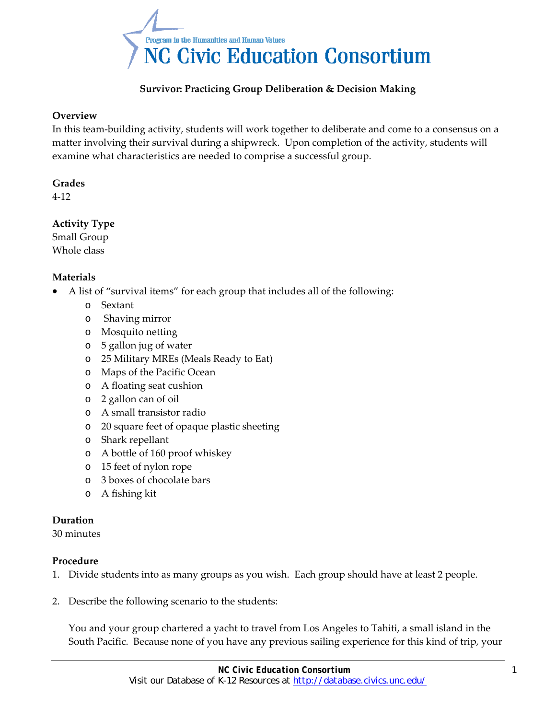

## **Survivor: Practicing Group Deliberation & Decision Making**

### **Overview**

In this team‐building activity, students will work together to deliberate and come to a consensus on a matter involving their survival during a shipwreck. Upon completion of the activity, students will examine what characteristics are needed to comprise a successful group.

### **Grades**

4‐12

# **Activity Type**

Small Group Whole class

## **Materials**

- A list of "survival items" for each group that includes all of the following:
	- o Sextant
	- o Shaving mirror
	- o Mosquito netting
	- o 5 gallon jug of water
	- o 25 Military MREs (Meals Ready to Eat)
	- o Maps of the Pacific Ocean
	- o A floating seat cushion
	- o 2 gallon can of oil
	- o A small transistor radio
	- o 20 square feet of opaque plastic sheeting
	- o Shark repellant
	- o A bottle of 160 proof whiskey
	- o 15 feet of nylon rope
	- o 3 boxes of chocolate bars
	- o A fishing kit

## **Duration**

30 minutes

## **Procedure**

- 1. Divide students into as many groups as you wish. Each group should have at least 2 people.
- 2. Describe the following scenario to the students:

You and your group chartered a yacht to travel from Los Angeles to Tahiti, a small island in the South Pacific. Because none of you have any previous sailing experience for this kind of trip, your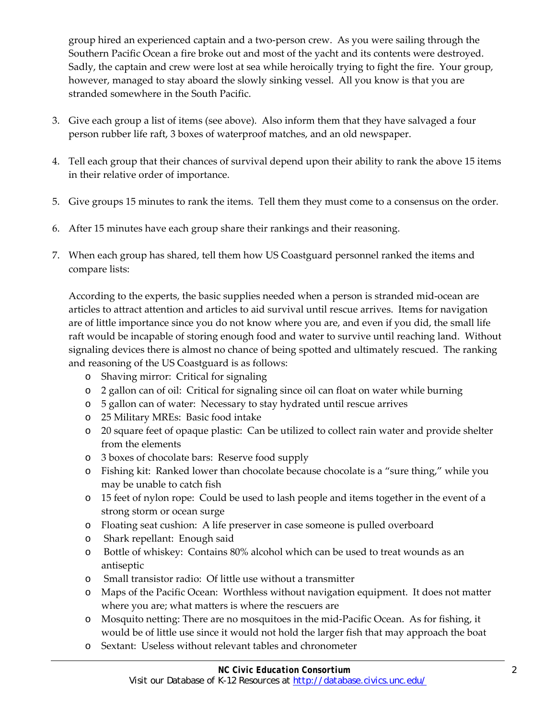group hired an experienced captain and a two‐person crew. As you were sailing through the Southern Pacific Ocean a fire broke out and most of the yacht and its contents were destroyed. Sadly, the captain and crew were lost at sea while heroically trying to fight the fire. Your group, however, managed to stay aboard the slowly sinking vessel. All you know is that you are stranded somewhere in the South Pacific.

- 3. Give each group a list of items (see above). Also inform them that they have salvaged a four person rubber life raft, 3 boxes of waterproof matches, and an old newspaper.
- 4. Tell each group that their chances of survival depend upon their ability to rank the above 15 items in their relative order of importance.
- 5. Give groups 15 minutes to rank the items. Tell them they must come to a consensus on the order.
- 6. After 15 minutes have each group share their rankings and their reasoning.
- 7. When each group has shared, tell them how US Coastguard personnel ranked the items and compare lists:

According to the experts, the basic supplies needed when a person is stranded mid‐ocean are articles to attract attention and articles to aid survival until rescue arrives. Items for navigation are of little importance since you do not know where you are, and even if you did, the small life raft would be incapable of storing enough food and water to survive until reaching land. Without signaling devices there is almost no chance of being spotted and ultimately rescued. The ranking and reasoning of the US Coastguard is as follows:

- o Shaving mirror: Critical for signaling
- o 2 gallon can of oil: Critical for signaling since oil can float on water while burning
- o 5 gallon can of water: Necessary to stay hydrated until rescue arrives
- o 25 Military MREs: Basic food intake
- o 20 square feet of opaque plastic: Can be utilized to collect rain water and provide shelter from the elements
- o 3 boxes of chocolate bars: Reserve food supply
- o Fishing kit: Ranked lower than chocolate because chocolate is a "sure thing," while you may be unable to catch fish
- o 15 feet of nylon rope: Could be used to lash people and items together in the event of a strong storm or ocean surge
- o Floating seat cushion: A life preserver in case someone is pulled overboard
- o Shark repellant: Enough said
- o Bottle of whiskey: Contains 80% alcohol which can be used to treat wounds as an antiseptic
- o Small transistor radio: Of little use without a transmitter
- o Maps of the Pacific Ocean: Worthless without navigation equipment. It does not matter where you are; what matters is where the rescuers are
- o Mosquito netting: There are no mosquitoes in the mid‐Pacific Ocean. As for fishing, it would be of little use since it would not hold the larger fish that may approach the boat
- o Sextant: Useless without relevant tables and chronometer